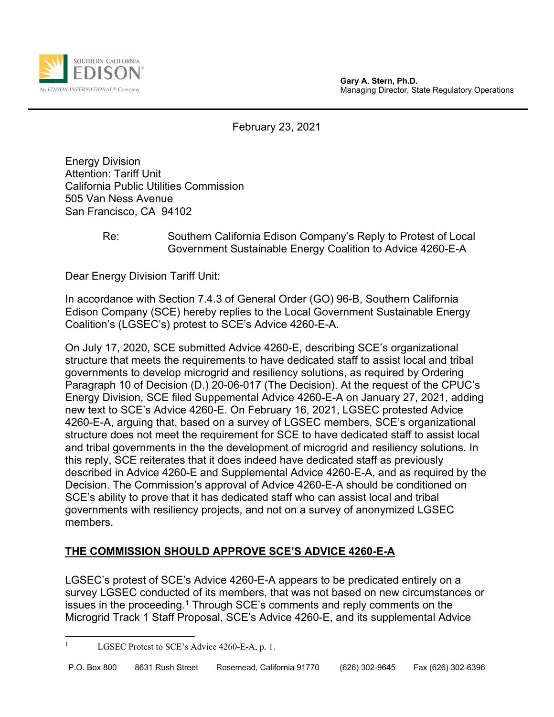



February 23, 2021

Energy Division Attention: Tariff Unit California Public Utilities Commission 505 Van Ness Avenue San Francisco, CA 94102

## Re: Southern California Edison Company's Reply to Protest of Local Government Sustainable Energy Coalition to Advice 4260-E-A

Dear Energy Division Tariff Unit:

In accordance with Section 7.4.3 of General Order (GO) 96-B, Southern California Edison Company (SCE) hereby replies to the Local Government Sustainable Energy Coalition's (LGSEC's) protest to SCE's Advice 4260-E-A.

On July 17, 2020, SCE submitted Advice 4260-E, describing SCE's organizational structure that meets the requirements to have dedicated staff to assist local and tribal governments to develop microgrid and resiliency solutions, as required by Ordering Paragraph 10 of Decision (D.) 20-06-017 (The Decision). At the request of the CPUC's Energy Division, SCE filed Suppemental Advice 4260-E-A on January 27, 2021, adding new text to SCE's Advice 4260-E. On February 16, 2021, LGSEC protested Advice 4260-E-A, arguing that, based on a survey of LGSEC members, SCE's organizational structure does not meet the requirement for SCE to have dedicated staff to assist local and tribal governments in the the development of microgrid and resiliency solutions. In this reply, SCE reiterates that it does indeed have dedicated staff as previously described in Advice 4260-E and Supplemental Advice 4260-E-A, and as required by the Decision. The Commission's approval of Advice 4260-E-A should be conditioned on SCE's ability to prove that it has dedicated staff who can assist local and tribal governments with resiliency projects, and not on a survey of anonymized LGSEC members.

## **THE COMMISSION SHOULD APPROVE SCE'S ADVICE 4260-E-A**

LGSEC's protest of SCE's Advice 4260-E-A appears to be predicated entirely on a survey LGSEC conducted of its members, that was not based on new circumstances or issues in the proceeding.<sup>1</sup> Through SCE's comments and reply comments on the Microgrid Track 1 Staff Proposal, SCE's Advice 4260-E, and its supplemental Advice

<sup>1</sup> LGSEC Protest to SCE's Advice 4260-E-A, p. 1.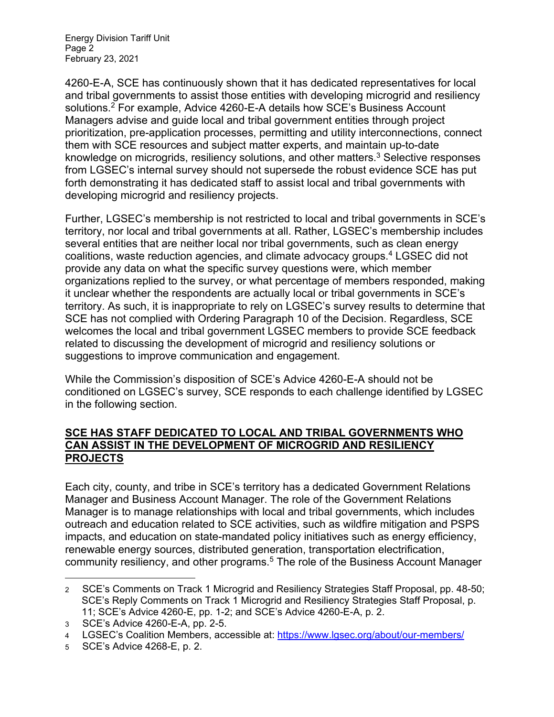Energy Division Tariff Unit Page 2 February 23, 2021

4260-E-A, SCE has continuously shown that it has dedicated representatives for local and tribal governments to assist those entities with developing microgrid and resiliency solutions.2 For example, Advice 4260-E-A details how SCE's Business Account Managers advise and guide local and tribal government entities through project prioritization, pre-application processes, permitting and utility interconnections, connect them with SCE resources and subject matter experts, and maintain up-to-date knowledge on microgrids, resiliency solutions, and other matters.<sup>3</sup> Selective responses from LGSEC's internal survey should not supersede the robust evidence SCE has put forth demonstrating it has dedicated staff to assist local and tribal governments with developing microgrid and resiliency projects.

Further, LGSEC's membership is not restricted to local and tribal governments in SCE's territory, nor local and tribal governments at all. Rather, LGSEC's membership includes several entities that are neither local nor tribal governments, such as clean energy coalitions, waste reduction agencies, and climate advocacy groups.4 LGSEC did not provide any data on what the specific survey questions were, which member organizations replied to the survey, or what percentage of members responded, making it unclear whether the respondents are actually local or tribal governments in SCE's territory. As such, it is inappropriate to rely on LGSEC's survey results to determine that SCE has not complied with Ordering Paragraph 10 of the Decision. Regardless, SCE welcomes the local and tribal government LGSEC members to provide SCE feedback related to discussing the development of microgrid and resiliency solutions or suggestions to improve communication and engagement.

While the Commission's disposition of SCE's Advice 4260-E-A should not be conditioned on LGSEC's survey, SCE responds to each challenge identified by LGSEC in the following section.

## **SCE HAS STAFF DEDICATED TO LOCAL AND TRIBAL GOVERNMENTS WHO CAN ASSIST IN THE DEVELOPMENT OF MICROGRID AND RESILIENCY PROJECTS**

Each city, county, and tribe in SCE's territory has a dedicated Government Relations Manager and Business Account Manager. The role of the Government Relations Manager is to manage relationships with local and tribal governments, which includes outreach and education related to SCE activities, such as wildfire mitigation and PSPS impacts, and education on state-mandated policy initiatives such as energy efficiency, renewable energy sources, distributed generation, transportation electrification, community resiliency, and other programs.5 The role of the Business Account Manager

<sup>2</sup> SCE's Comments on Track 1 Microgrid and Resiliency Strategies Staff Proposal, pp. 48-50; SCE's Reply Comments on Track 1 Microgrid and Resiliency Strategies Staff Proposal, p. 11; SCE's Advice 4260-E, pp. 1-2; and SCE's Advice 4260-E-A, p. 2.

<sup>3</sup> SCE's Advice 4260-E-A, pp. 2-5.

<sup>4</sup> LGSEC's Coalition Members, accessible at: https://www.lgsec.org/about/our-members/

<sup>5</sup> SCE's Advice 4268-E, p. 2.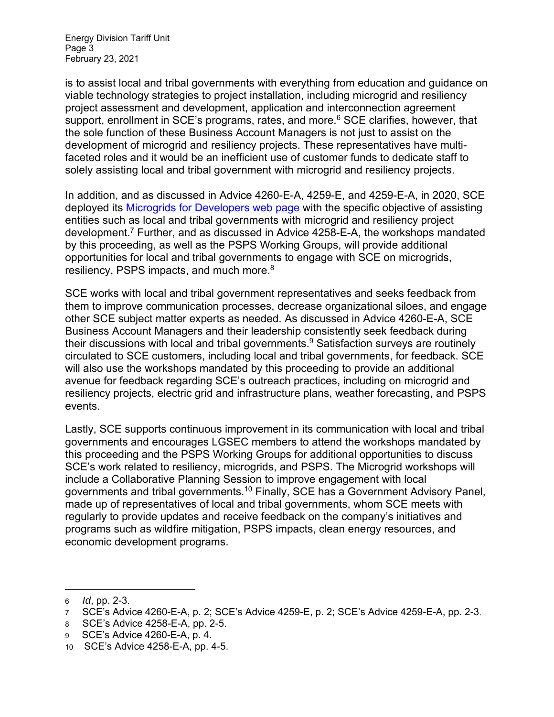is to assist local and tribal governments with everything from education and guidance on viable technology strategies to project installation, including microgrid and resiliency project assessment and development, application and interconnection agreement support, enrollment in SCE's programs, rates, and more.<sup>6</sup> SCE clarifies, however, that the sole function of these Business Account Managers is not just to assist on the development of microgrid and resiliency projects. These representatives have multifaceted roles and it would be an inefficient use of customer funds to dedicate staff to solely assisting local and tribal government with microgrid and resiliency projects.

In addition, and as discussed in Advice 4260-E-A, 4259-E, and 4259-E-A, in 2020, SCE deployed its Microgrids for Developers web page with the specific objective of assisting entities such as local and tribal governments with microgrid and resiliency project development.7 Further, and as discussed in Advice 4258-E-A, the workshops mandated by this proceeding, as well as the PSPS Working Groups, will provide additional opportunities for local and tribal governments to engage with SCE on microgrids, resiliency, PSPS impacts, and much more.<sup>8</sup>

SCE works with local and tribal government representatives and seeks feedback from them to improve communication processes, decrease organizational siloes, and engage other SCE subject matter experts as needed. As discussed in Advice 4260-E-A, SCE Business Account Managers and their leadership consistently seek feedback during their discussions with local and tribal governments.<sup>9</sup> Satisfaction surveys are routinely circulated to SCE customers, including local and tribal governments, for feedback. SCE will also use the workshops mandated by this proceeding to provide an additional avenue for feedback regarding SCE's outreach practices, including on microgrid and resiliency projects, electric grid and infrastructure plans, weather forecasting, and PSPS events.

Lastly, SCE supports continuous improvement in its communication with local and tribal governments and encourages LGSEC members to attend the workshops mandated by this proceeding and the PSPS Working Groups for additional opportunities to discuss SCE's work related to resiliency, microgrids, and PSPS. The Microgrid workshops will include a Collaborative Planning Session to improve engagement with local governments and tribal governments.10 Finally, SCE has a Government Advisory Panel, made up of representatives of local and tribal governments, whom SCE meets with regularly to provide updates and receive feedback on the company's initiatives and programs such as wildfire mitigation, PSPS impacts, clean energy resources, and economic development programs.

<sup>6</sup> *Id*, pp. 2-3.

<sup>7</sup> SCE's Advice 4260-E-A, p. 2; SCE's Advice 4259-E, p. 2; SCE's Advice 4259-E-A, pp. 2-3.

<sup>8</sup> SCE's Advice 4258-E-A, pp. 2-5.

<sup>9</sup> SCE's Advice 4260-E-A, p. 4.

<sup>10</sup> SCE's Advice 4258-E-A, pp. 4-5.